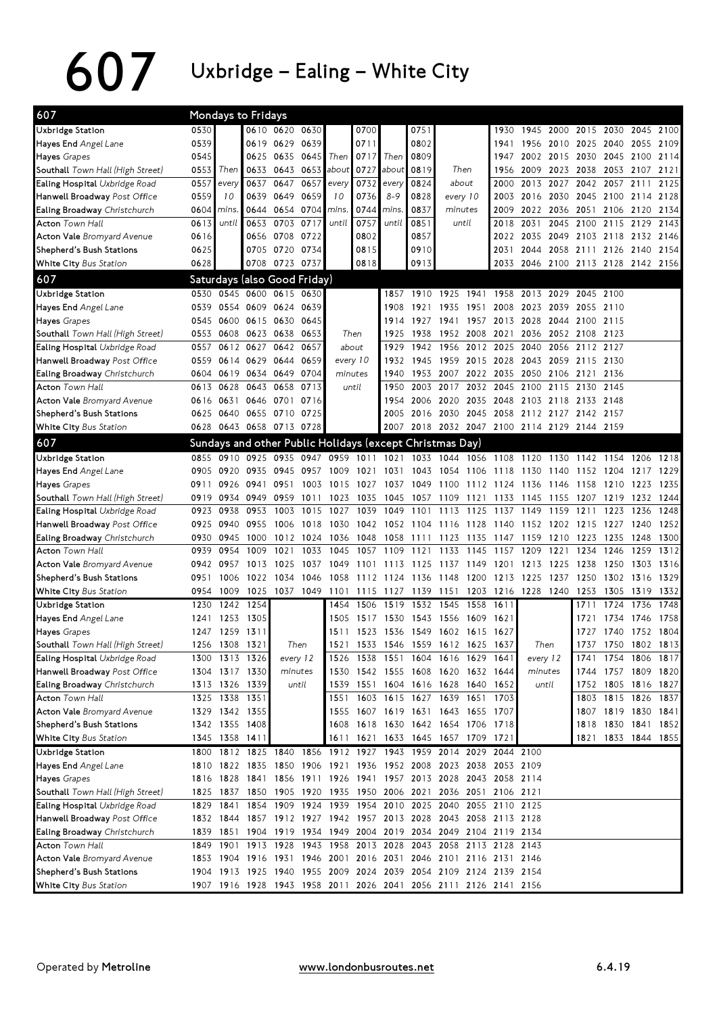## $607$  Uxbridge – Ealing – White City

| 607                               |      | Mondays to Fridays                                               |                |                |           |                |      |                                                        |                |                               |                |      |                                              |      |                |                          |           |      |
|-----------------------------------|------|------------------------------------------------------------------|----------------|----------------|-----------|----------------|------|--------------------------------------------------------|----------------|-------------------------------|----------------|------|----------------------------------------------|------|----------------|--------------------------|-----------|------|
| Uxbridge Station                  | 0530 |                                                                  |                | 0610 0620 0630 |           |                | 0700 |                                                        | 0751           |                               |                | 1930 |                                              |      |                | 1945 2000 2015 2030 2045 |           | 2100 |
| Hayes End Angel Lane              | 0539 |                                                                  |                | 0619 0629 0639 |           |                | 0711 |                                                        | 0802           |                               |                | 1941 | 1956                                         |      | 2010 2025 2040 |                          | 2055      | 2109 |
| Hayes Grapes                      | 0545 |                                                                  |                | 0625 0635      | 0645      | Then           |      | 0717 Then                                              | 0809           |                               |                | 1947 | 2002                                         | 2015 |                | 2030 2045 2100           |           | 2114 |
| Southall Town Hall (High Street)  | 0553 | Then                                                             | 0633           | 0643 0653      |           | about          | 0727 | about                                                  | 0819           |                               | Then           | 1956 | 2009                                         | 2023 |                | 2038 2053 2107           |           | 2121 |
| Ealing Hospital Uxbridge Road     | 0557 | every                                                            | 0637           | 0647           | 0657      | every          | 0732 | every                                                  | 0824           | about                         |                | 2000 | 2013                                         | 2027 |                | 2042 2057 2111           |           | 2125 |
| Hanwell Broadway Post Office      | 0559 | 10                                                               |                | 0639 0649 0659 |           | 10             | 0736 | $8 - 9$                                                | 0828           | every 10                      |                |      | 2003 2016                                    |      |                | 2030 2045 2100 2114 2128 |           |      |
| Ealing Broadway Christchurch      | 0604 | mins.                                                            |                | 0644 0654 0704 |           | mins.          | 0744 | mins.                                                  | 0837           | minutes                       |                |      | 2009 2022                                    |      |                | 2036 2051 2106 2120      |           | 2134 |
| <b>Acton Town Hall</b>            | 0613 | until                                                            |                | 0653 0703 0717 |           | until          | 0757 | until                                                  | 0851           |                               | until          |      | 2018 2031                                    |      |                | 2045 2100 2115 2129      |           | 2143 |
| <b>Acton Vale Bromyard Avenue</b> | 0616 |                                                                  |                | 0656 0708      | 0722      |                | 0802 |                                                        | 0857           |                               |                | 2022 | 2035                                         | 2049 |                | 2103 2118 2132           |           | 2146 |
| Shepherd's Bush Stations          | 0625 |                                                                  |                | 0705 0720 0734 |           |                | 0815 |                                                        | 0910           |                               |                | 2031 | 2044                                         |      |                | 2058 2111 2126 2140      |           | 2154 |
| White City Bus Station            | 0628 |                                                                  |                | 0708 0723 0737 |           |                | 0818 |                                                        | 0913           |                               |                |      | 2033 2046 2100 2113 2128 2142 2156           |      |                |                          |           |      |
| 607                               |      | Saturdays (also Good Friday)                                     |                |                |           |                |      |                                                        |                |                               |                |      |                                              |      |                |                          |           |      |
| Uxbridge Station                  |      | 0530 0545 0600 0615 0630                                         |                |                |           |                |      | 1857                                                   | 1910           | 1925                          | 1941           |      | 1958 2013 2029 2045 2100                     |      |                |                          |           |      |
| Hayes End Angel Lane              | 0539 | 0554 0609 0624                                                   |                |                | 0639      |                |      | 1908                                                   | 1921           | 1935                          | 1951           | 2008 | 2023                                         | 2039 | 2055 2110      |                          |           |      |
| Hayes Grapes                      | 0545 | 0600                                                             | 0615 0630      |                | 0645      |                |      |                                                        | 1914 1927      | 1941                          | 1957 2013 2028 |      |                                              | 2044 | 2100 2115      |                          |           |      |
| Southall Town Hall (High Street)  | 0553 | 0608                                                             | 0623 0638      |                | 0653      | Then           |      | 1925                                                   | 1938           | 1952 2008                     |                | 2021 | 2036                                         | 2052 | 2108 2123      |                          |           |      |
| Ealing Hospital Uxbridge Road     | 0557 | 0612                                                             | 0627           | 0642           | 0657      | about          |      | 1929                                                   | 1942           | 1956                          | 2012           | 2025 | 2040                                         | 2056 | 2112 2127      |                          |           |      |
| Hanwell Broadway Post Office      | 0559 |                                                                  | 0614 0629 0644 |                | 0659      | every 10       |      | 1932                                                   | 1945           | 1959                          | 2015           |      | 2028 2043                                    | 2059 | 2115 2130      |                          |           |      |
| Ealing Broadway Christchurch      |      | 0604 0619                                                        | 0634 0649      |                | 0704      | minutes        |      | 1940                                                   | 1953           | 2007                          | 2022           | 2035 | 2050                                         | 2106 | 2121           | 2136                     |           |      |
| <b>Acton Town Hall</b>            | 0613 | 0628                                                             | 0643 0658      |                | 0713      | until          |      | 1950                                                   | 2003           | 2017                          | 2032           |      | 2045 2100                                    | 2115 | 2130 2145      |                          |           |      |
| <b>Acton Vale Bromyard Avenue</b> | 0616 | 0631                                                             |                | 0646 0701      | 0716      |                |      | 1954                                                   |                | 2006 2020                     |                |      | 2035 2048 2103 2118                          |      | 2133 2148      |                          |           |      |
| Shepherd's Bush Stations          | 0625 | 0640 0655 0710 0725                                              |                |                |           |                |      |                                                        |                |                               |                |      | 2005 2016 2030 2045 2058 2112 2127 2142 2157 |      |                |                          |           |      |
| White City Bus Station            |      | 0628 0643 0658 0713 0728                                         |                |                |           |                |      |                                                        |                |                               |                |      | 2007 2018 2032 2047 2100 2114 2129 2144 2159 |      |                |                          |           |      |
| 607                               |      | Sundays and other Public Holidays (except Christmas Day)         |                |                |           |                |      |                                                        |                |                               |                |      |                                              |      |                |                          |           |      |
| Uxbridge Station                  | 0855 | 0910                                                             | 0925 0935      |                | 0947      | 0959           | 1011 |                                                        |                | 1021 1033 1044 1056 1108 1120 |                |      |                                              | 1130 | 1142 1154      |                          | 1206      | 1218 |
| Hayes End Angel Lane              | 0905 | 0920                                                             | 0935           | 0945           | 0957 1009 |                | 1021 |                                                        | 1031 1043      |                               |                |      | 1054 1106 1118 1130 1140                     |      | 1152 1204      |                          | 1217      | 1229 |
| Hayes Grapes                      | 0911 | 0926                                                             | 0941           | 0951           |           | 1003 1015      | 1027 |                                                        | 1037 1049 1100 |                               |                |      | 1112 1124 1136 1146                          |      | 1158           | 1210                     | 1223      | 1235 |
| Southall Town Hall (High Street)  | 0919 | 0934                                                             | 0949           | 0959           | 1011      | 1023           | 1035 | 1045 1057                                              |                | 1109                          | 1121           | 1133 | 1145                                         | 1155 | 1207           | 1219                     | 1232      | 1244 |
| Ealing Hospital Uxbridge Road     | 0923 | 0938                                                             | 0953           | 1003           | 1015      | 1027           | 1039 | 1049                                                   | 1101           | 1113                          | 1125           | 1137 | 1149                                         | 1159 | 1211           | 1223                     | 1236      | 1248 |
| Hanwell Broadway Post Office      | 0925 | 0940                                                             | 0955           | 1006           | 1018      | 1030           |      | 1042 1052 1104 1116 1128 1140 1152                     |                |                               |                |      |                                              |      | 1202 1215 1227 |                          | 1240      | 1252 |
| Ealing Broadway Christchurch      | 0930 | 0945                                                             | 1000           |                | 1012 1024 | 1036           | 1048 |                                                        | 1058 1111      | 1123                          | 1135           | 1147 | 1159                                         | 1210 | 1223 1235      |                          | 1248      | 1300 |
| <b>Acton Town Hall</b>            | 0939 | 0954                                                             | 1009           | 1021           | 1033      | 1045           | 1057 | 1109                                                   | 1121           | 1133                          | 1145           | 1157 | 1209                                         | 1221 | 1234           | 1246                     | 1259      | 1312 |
| <b>Acton Vale Bromyard Avenue</b> |      | 0942 0957                                                        | 1013           | 1025           | 1037      | 1049           | 1101 | 1113 1125                                              |                | 1137                          | 1149           | 1201 | 1213                                         | 1225 | 1238           | 1250                     | 1303      | 1316 |
| Shepherd's Bush Stations          | 0951 | 1006                                                             | 1022           | 1034           | 1046      | 1058           | 1112 | 1124                                                   | 1136           | 1148                          | 1200           | 1213 | 1225                                         | 1237 | 1250           | 1302                     | 1316      | 1329 |
| White City Bus Station            | 0954 | 1009                                                             | 1025           | 1037 1049      |           | 1101           | 1115 | 1127                                                   |                |                               |                |      | 1139 1151 1203 1216 1228 1240                |      | 1253           | 1305                     | 1319      | 1332 |
| Uxbridge Station                  | 1230 | 1242                                                             | 1254           |                |           | 1454           | 1506 | 1519                                                   | 1532 1545      |                               | 1558           | 1611 |                                              |      | 1711           | 1724                     | 1736      | 1748 |
| Hayes End Angel Lane              | 1241 | 1253                                                             | 1305           |                |           | 1505           |      | 1517 1530 1543 1556 1609 1621                          |                |                               |                |      |                                              |      | 1721           | 1734 1746                |           | 1758 |
| Hayes Grapes                      |      | 1247 1259 1311                                                   |                |                |           | 1511           |      | 1523 1536 1549 1602 1615 1627                          |                |                               |                |      |                                              |      | 1727           | 1740                     | 1752 1804 |      |
| Southall Town Hall (High Street)  |      | 1256 1308 1321                                                   |                | Then           |           | 1521           |      | 1533 1546 1559 1612 1625 1637                          |                |                               |                |      | Then                                         |      |                | 1737 1750 1802 1813      |           |      |
| Ealing Hospital Uxbridge Road     |      | 1300 1313 1326                                                   |                | every 12       |           |                |      | 1526 1538 1551 1604 1616 1629 1641                     |                |                               |                |      | every 12                                     |      |                | 1741 1754 1806 1817      |           |      |
| Hanwell Broadway Post Office      |      | 1304 1317 1330                                                   |                | minutes        |           |                |      | 1530 1542 1555 1608 1620 1632 1644                     |                |                               |                |      | minutes                                      |      |                | 1744 1757 1809 1820      |           |      |
| Ealing Broadway Christchurch      |      | 1313 1326 1339                                                   |                | until          |           |                |      | 1539 1551 1604 1616 1628 1640 1652                     |                |                               |                |      | until                                        |      |                | 1752 1805 1816 1827      |           |      |
| <b>Acton Town Hall</b>            |      | 1325 1338 1351                                                   |                |                |           |                |      | 1551 1603 1615 1627 1639 1651 1703                     |                |                               |                |      |                                              |      |                | 1803 1815 1826 1837      |           |      |
| <b>Acton Vale</b> Bromyard Avenue |      | 1329 1342 1355                                                   |                |                |           | 1555           |      | 1607 1619 1631 1643 1655 1707                          |                |                               |                |      |                                              |      |                | 1807 1819 1830 1841      |           |      |
| Shepherd's Bush Stations          |      | 1342 1355 1408                                                   |                |                |           |                |      | 1608 1618 1630 1642 1654 1706 1718                     |                |                               |                |      |                                              |      |                | 1818 1830 1841 1852      |           |      |
| White City Bus Station            |      | 1345 1358 1411                                                   |                |                |           |                |      | 1611 1621 1633 1645 1657 1709 1721                     |                |                               |                |      |                                              |      |                | 1821 1833 1844 1855      |           |      |
| Uxbridge Station                  |      | 1800 1812 1825 1840                                              |                |                |           | 1856 1912 1927 |      |                                                        |                | 1943 1959 2014 2029 2044 2100 |                |      |                                              |      |                |                          |           |      |
| Hayes End Angel Lane              |      | 1810 1822 1835 1850 1906 1921 1936 1952 2008 2023 2038 2053 2109 |                |                |           |                |      |                                                        |                |                               |                |      |                                              |      |                |                          |           |      |
| Hayes Grapes                      |      | 1816 1828 1841 1856 1911 1926 1941 1957 2013 2028 2043 2058 2114 |                |                |           |                |      |                                                        |                |                               |                |      |                                              |      |                |                          |           |      |
| Southall Town Hall (High Street)  |      | 1825 1837                                                        |                |                |           |                |      | 1850 1905 1920 1935 1950 2006 2021 2036 2051 2106 2121 |                |                               |                |      |                                              |      |                |                          |           |      |
| Ealing Hospital Uxbridge Road     |      | 1829 1841                                                        |                |                |           |                |      | 1854 1909 1924 1939 1954 2010 2025 2040 2055 2110 2125 |                |                               |                |      |                                              |      |                |                          |           |      |
| Hanwell Broadway Post Office      |      | 1832 1844 1857 1912 1927 1942 1957 2013 2028 2043 2058 2113 2128 |                |                |           |                |      |                                                        |                |                               |                |      |                                              |      |                |                          |           |      |
| Ealing Broadway Christchurch      |      | 1839 1851 1904 1919 1934 1949 2004 2019 2034 2049 2104 2119 2134 |                |                |           |                |      |                                                        |                |                               |                |      |                                              |      |                |                          |           |      |
| Acton Town Hall                   |      | 1849 1901 1913 1928                                              |                |                |           |                |      | 1943 1958 2013 2028 2043 2058 2113 2128 2143           |                |                               |                |      |                                              |      |                |                          |           |      |
| <b>Acton Vale Bromyard Avenue</b> |      | 1853 1904 1916 1931 1946 2001 2016 2031 2046 2101 2116 2131 2146 |                |                |           |                |      |                                                        |                |                               |                |      |                                              |      |                |                          |           |      |
| Shepherd's Bush Stations          |      | 1904 1913 1925 1940 1955 2009 2024 2039 2054 2109 2124 2139 2154 |                |                |           |                |      |                                                        |                |                               |                |      |                                              |      |                |                          |           |      |
| <b>White City Bus Station</b>     |      | 1907 1916 1928 1943 1958 2011 2026 2041 2056 2111 2126 2141 2156 |                |                |           |                |      |                                                        |                |                               |                |      |                                              |      |                |                          |           |      |